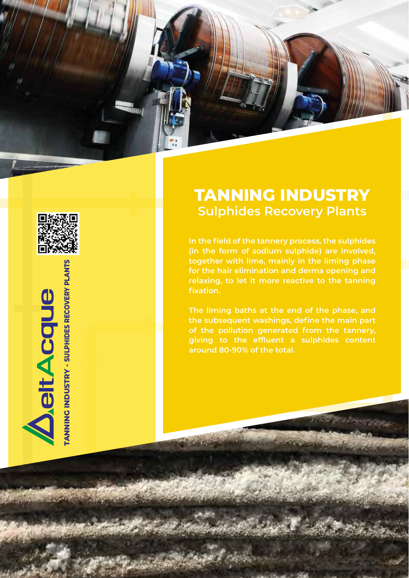



## **DeltAcque**

## **ANNING INDUSTRY - SULPHIDES RECOVERY PLANTS TANNING INDUSTRY - SULPHIDES RECOVERY PLANTS**

## **TANNING INDUSTRY Sulphides Recovery Plants**

**In the field of the tannery process, the sulphides (in the form of sodium sulphide) are involved, together with lime, mainly in the liming phase for the hair elimination and derma opening and relaxing, to let it more reactive to the tanning fixation.**

**The liming baths at the end of the phase, and the subsequent washings, define the main part of the pollution generated from the tannery, giving to the effluent a sulphides content around 80-90% of the total.**